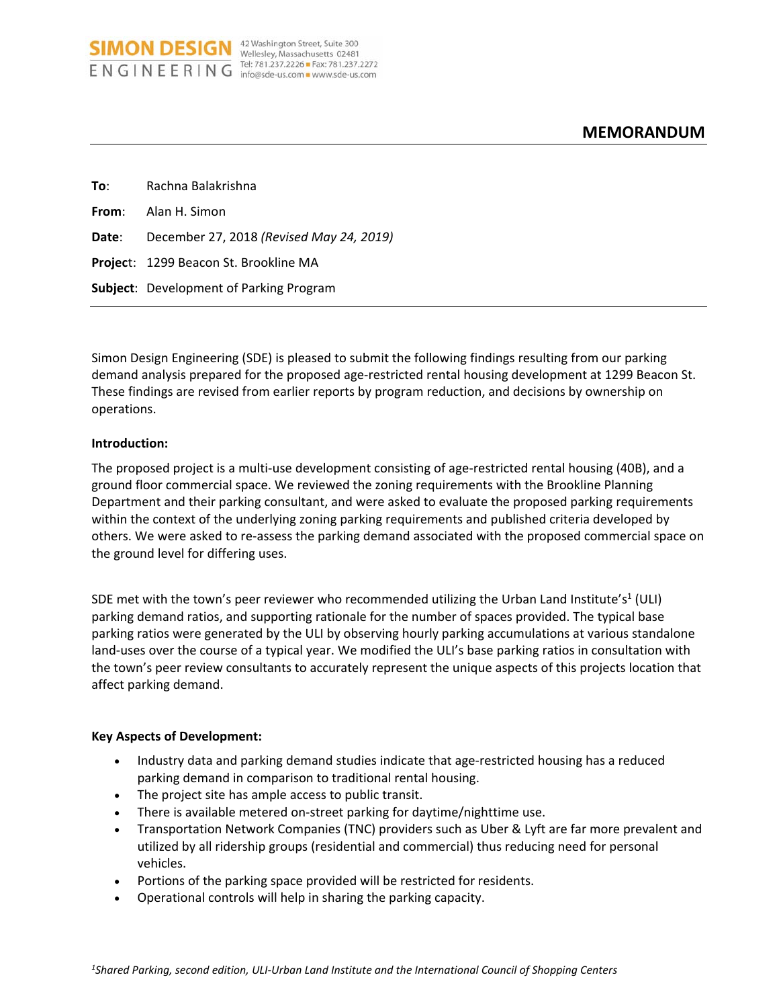| To: To | Rachna Balakrishna                             |
|--------|------------------------------------------------|
|        | <b>From:</b> Alan H. Simon                     |
|        | Date: December 27, 2018 (Revised May 24, 2019) |
|        | <b>Project: 1299 Beacon St. Brookline MA</b>   |
|        | <b>Subject:</b> Development of Parking Program |

**SIMON DESIGN** <sup>42 Washington Street, Suite 300</sup> ENGINEERING Tel: 781.237.2226 Fax: 781.237.2272

Simon Design Engineering (SDE) is pleased to submit the following findings resulting from our parking demand analysis prepared for the proposed age‐restricted rental housing development at 1299 Beacon St. These findings are revised from earlier reports by program reduction, and decisions by ownership on operations.

#### **Introduction:**

The proposed project is a multi-use development consisting of age-restricted rental housing (40B), and a ground floor commercial space. We reviewed the zoning requirements with the Brookline Planning Department and their parking consultant, and were asked to evaluate the proposed parking requirements within the context of the underlying zoning parking requirements and published criteria developed by others. We were asked to re‐assess the parking demand associated with the proposed commercial space on the ground level for differing uses.

SDE met with the town's peer reviewer who recommended utilizing the Urban Land Institute's<sup>1</sup> (ULI) parking demand ratios, and supporting rationale for the number of spaces provided. The typical base parking ratios were generated by the ULI by observing hourly parking accumulations at various standalone land-uses over the course of a typical year. We modified the ULI's base parking ratios in consultation with the town's peer review consultants to accurately represent the unique aspects of this projects location that affect parking demand.

#### **Key Aspects of Development:**

- Industry data and parking demand studies indicate that age-restricted housing has a reduced parking demand in comparison to traditional rental housing.
- The project site has ample access to public transit.
- There is available metered on‐street parking for daytime/nighttime use.
- Transportation Network Companies (TNC) providers such as Uber & Lyft are far more prevalent and utilized by all ridership groups (residential and commercial) thus reducing need for personal vehicles.
- Portions of the parking space provided will be restricted for residents.
- Operational controls will help in sharing the parking capacity.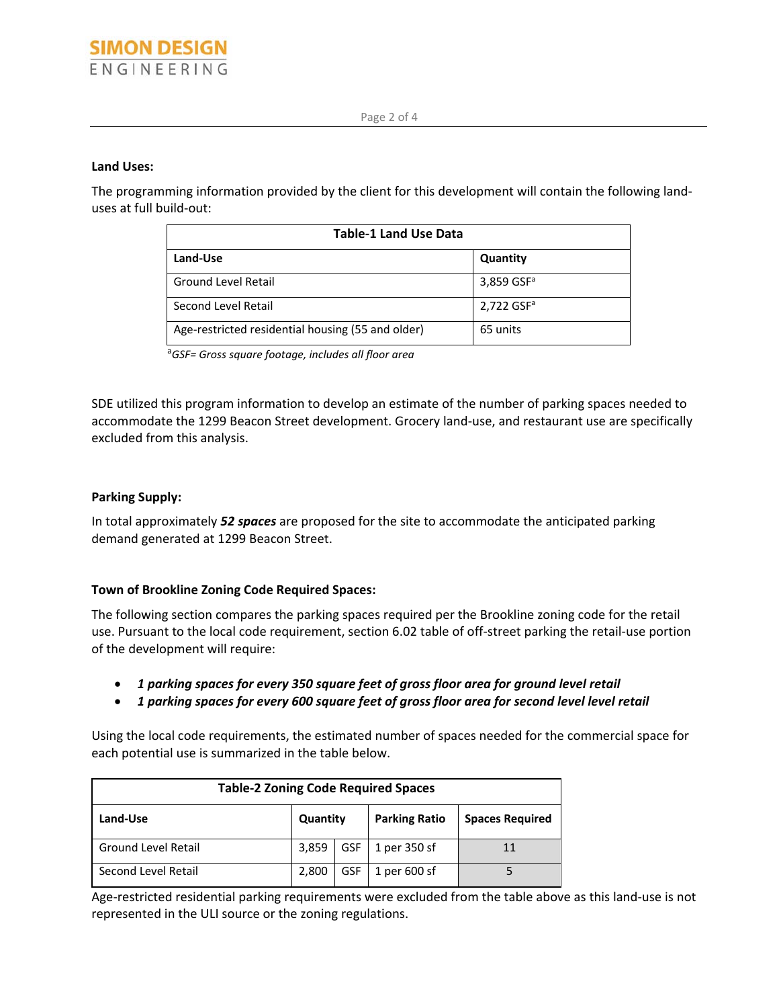#### **Land Uses:**

The programming information provided by the client for this development will contain the following land‐ uses at full build‐out:

| <b>Table-1 Land Use Data</b>                      |                          |  |  |  |
|---------------------------------------------------|--------------------------|--|--|--|
| Land-Use                                          | Quantity                 |  |  |  |
| <b>Ground Level Retail</b>                        | 3,859 GSF <sup>a</sup>   |  |  |  |
| Second Level Retail                               | $2,722$ GSF <sup>a</sup> |  |  |  |
| Age-restricted residential housing (55 and older) | 65 units                 |  |  |  |

<sup>a</sup>*GSF= Gross square footage, includes all floor area* 

SDE utilized this program information to develop an estimate of the number of parking spaces needed to accommodate the 1299 Beacon Street development. Grocery land‐use, and restaurant use are specifically excluded from this analysis.

#### **Parking Supply:**

In total approximately *52 spaces* are proposed for the site to accommodate the anticipated parking demand generated at 1299 Beacon Street.

## **Town of Brookline Zoning Code Required Spaces:**

The following section compares the parking spaces required per the Brookline zoning code for the retail use. Pursuant to the local code requirement, section 6.02 table of off‐street parking the retail‐use portion of the development will require:

- *1 parking spaces for every 350 square feet of gross floor area for ground level retail*
- *1 parking spaces for every 600 square feet of gross floor area for second level level retail*

Using the local code requirements, the estimated number of spaces needed for the commercial space for each potential use is summarized in the table below.

| <b>Table-2 Zoning Code Required Spaces</b> |          |            |                      |                        |  |  |  |
|--------------------------------------------|----------|------------|----------------------|------------------------|--|--|--|
| Land-Use                                   | Quantity |            | <b>Parking Ratio</b> | <b>Spaces Required</b> |  |  |  |
| <b>Ground Level Retail</b>                 | 3,859    | GSF I      | 1 per 350 sf         | 11                     |  |  |  |
| Second Level Retail                        | 2,800    | <b>GSF</b> | 1 per 600 sf         |                        |  |  |  |

Age‐restricted residential parking requirements were excluded from the table above as this land‐use is not represented in the ULI source or the zoning regulations.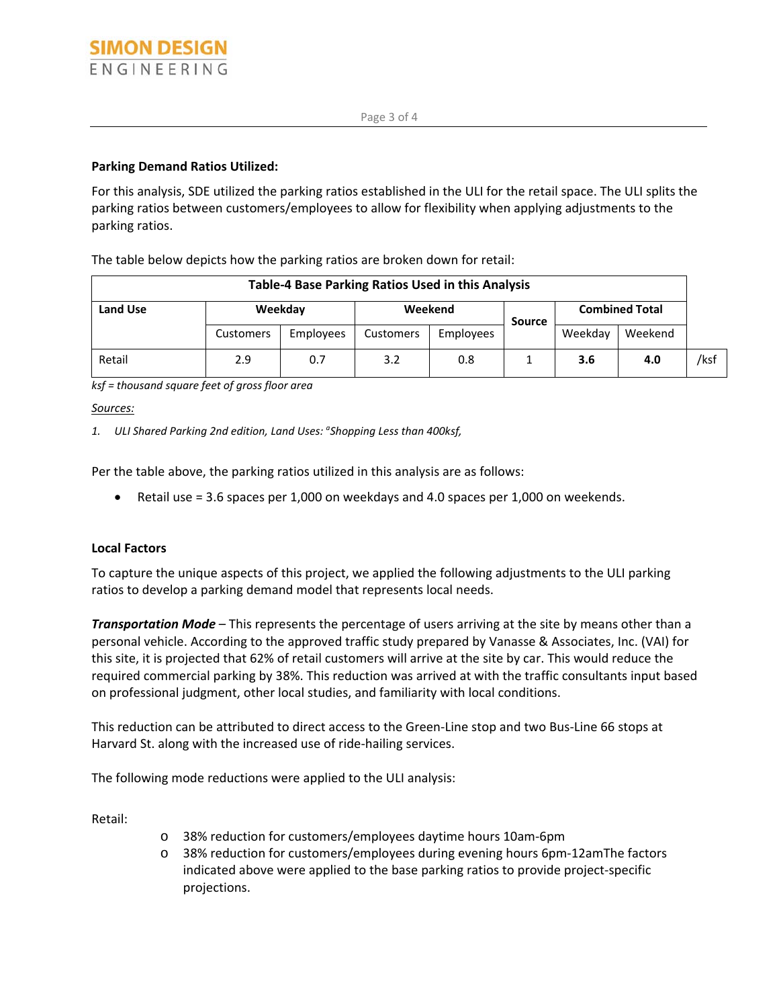## **Parking Demand Ratios Utilized:**

For this analysis, SDE utilized the parking ratios established in the ULI for the retail space. The ULI splits the parking ratios between customers/employees to allow for flexibility when applying adjustments to the parking ratios.

The table below depicts how the parking ratios are broken down for retail:

| <b>Table-4 Base Parking Ratios Used in this Analysis</b> |           |           |           |           |               |                       |         |      |  |
|----------------------------------------------------------|-----------|-----------|-----------|-----------|---------------|-----------------------|---------|------|--|
| <b>Land Use</b>                                          | Weekday   |           | Weekend   |           | <b>Source</b> | <b>Combined Total</b> |         |      |  |
|                                                          | Customers | Employees | Customers | Employees |               | Weekdav               | Weekend |      |  |
| Retail                                                   | 2.9       | 0.7       | 3.2       | 0.8       |               | 3.6                   | 4.0     | /ksf |  |

*ksf = thousand square feet of gross floor area* 

*Sources:*

*1. ULI Shared Parking 2nd edition, Land Uses: a Shopping Less than 400ksf,* 

Per the table above, the parking ratios utilized in this analysis are as follows:

Retail use = 3.6 spaces per 1,000 on weekdays and 4.0 spaces per 1,000 on weekends.

## **Local Factors**

To capture the unique aspects of this project, we applied the following adjustments to the ULI parking ratios to develop a parking demand model that represents local needs.

*Transportation Mode* – This represents the percentage of users arriving at the site by means other than a personal vehicle. According to the approved traffic study prepared by Vanasse & Associates, Inc. (VAI) for this site, it is projected that 62% of retail customers will arrive at the site by car. This would reduce the required commercial parking by 38%. This reduction was arrived at with the traffic consultants input based on professional judgment, other local studies, and familiarity with local conditions.

This reduction can be attributed to direct access to the Green‐Line stop and two Bus‐Line 66 stops at Harvard St. along with the increased use of ride‐hailing services.

The following mode reductions were applied to the ULI analysis:

Retail:

- o 38% reduction for customers/employees daytime hours 10am‐6pm
- o 38% reduction for customers/employees during evening hours 6pm‐12amThe factors indicated above were applied to the base parking ratios to provide project‐specific projections.